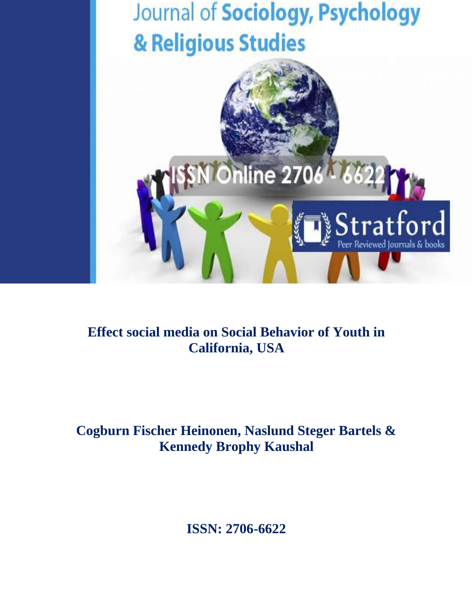

# **Effect social media on Social Behavior of Youth in California, USA**

# **Cogburn Fischer Heinonen, Naslund Steger Bartels & Kennedy Brophy Kaushal**

**ISSN: 2706-6622**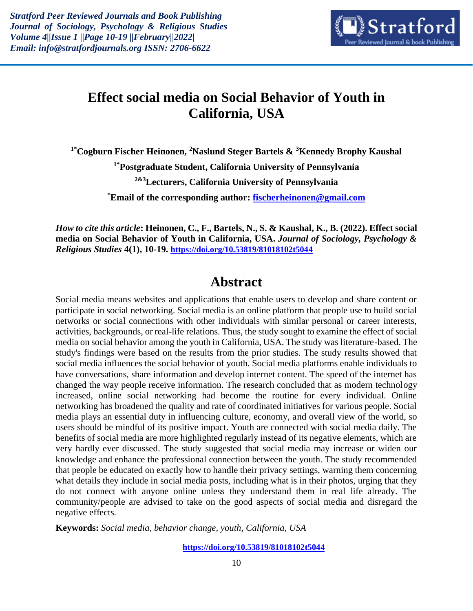

## **Effect social media on Social Behavior of Youth in California, USA**

**1\*Cogburn Fischer Heinonen, <sup>2</sup>Naslund Steger Bartels & <sup>3</sup>Kennedy Brophy Kaushal 1\*Postgraduate Student, California University of Pennsylvania 2&3Lecturers, California University of Pennsylvania \*Email of the corresponding author: [fischerheinonen@gmail.com](mailto:fischerheinonen@gmail.com)**

*How to cite this article***: Heinonen, C., F., Bartels, N., S. & Kaushal, K., B. (2022). Effect social media on Social Behavior of Youth in California, USA.** *Journal of Sociology, Psychology & Religious Studies* **4(1), 10-19. <https://doi.org/10.53819/81018102t5044>**

### **Abstract**

Social media means websites and applications that enable users to develop and share content or participate in social networking. Social media is an online platform that people use to build social networks or social connections with other individuals with similar personal or career interests, activities, backgrounds, or real-life relations. Thus, the study sought to examine the effect of social media on social behavior among the youth in California, USA. The study was literature-based. The study's findings were based on the results from the prior studies. The study results showed that social media influences the social behavior of youth. Social media platforms enable individuals to have conversations, share information and develop internet content. The speed of the internet has changed the way people receive information. The research concluded that as modern technology increased, online social networking had become the routine for every individual. Online networking has broadened the quality and rate of coordinated initiatives for various people. Social media plays an essential duty in influencing culture, economy, and overall view of the world, so users should be mindful of its positive impact. Youth are connected with social media daily. The benefits of social media are more highlighted regularly instead of its negative elements, which are very hardly ever discussed. The study suggested that social media may increase or widen our knowledge and enhance the professional connection between the youth. The study recommended that people be educated on exactly how to handle their privacy settings, warning them concerning what details they include in social media posts, including what is in their photos, urging that they do not connect with anyone online unless they understand them in real life already. The community/people are advised to take on the good aspects of social media and disregard the negative effects.

**Keywords:** *Social media, behavior change, youth, California, USA*

**<https://doi.org/10.53819/81018102t5044>**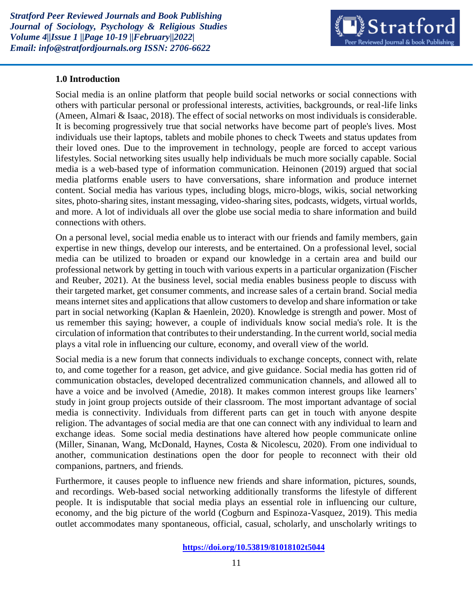

#### **1.0 Introduction**

Social media is an online platform that people build social networks or social connections with others with particular personal or professional interests, activities, backgrounds, or real-life links (Ameen, Almari & Isaac, 2018). The effect of social networks on most individuals is considerable. It is becoming progressively true that social networks have become part of people's lives. Most individuals use their laptops, tablets and mobile phones to check Tweets and status updates from their loved ones. Due to the improvement in technology, people are forced to accept various lifestyles. Social networking sites usually help individuals be much more socially capable. Social media is a web-based type of information communication. Heinonen (2019) argued that social media platforms enable users to have conversations, share information and produce internet content. Social media has various types, including blogs, micro-blogs, wikis, social networking sites, photo-sharing sites, instant messaging, video-sharing sites, podcasts, widgets, virtual worlds, and more. A lot of individuals all over the globe use social media to share information and build connections with others.

On a personal level, social media enable us to interact with our friends and family members, gain expertise in new things, develop our interests, and be entertained. On a professional level, social media can be utilized to broaden or expand our knowledge in a certain area and build our professional network by getting in touch with various experts in a particular organization (Fischer and Reuber, 2021). At the business level, social media enables business people to discuss with their targeted market, get consumer comments, and increase sales of a certain brand. Social media means internet sites and applications that allow customers to develop and share information or take part in social networking (Kaplan & Haenlein, 2020). Knowledge is strength and power. Most of us remember this saying; however, a couple of individuals know social media's role. It is the circulation of information that contributes to their understanding. In the current world, social media plays a vital role in influencing our culture, economy, and overall view of the world.

Social media is a new forum that connects individuals to exchange concepts, connect with, relate to, and come together for a reason, get advice, and give guidance. Social media has gotten rid of communication obstacles, developed decentralized communication channels, and allowed all to have a voice and be involved (Amedie, 2018). It makes common interest groups like learners' study in joint group projects outside of their classroom. The most important advantage of social media is connectivity. Individuals from different parts can get in touch with anyone despite religion. The advantages of social media are that one can connect with any individual to learn and exchange ideas. Some social media destinations have altered how people communicate online (Miller, Sinanan, Wang, McDonald, Haynes, Costa & Nicolescu, 2020). From one individual to another, communication destinations open the door for people to reconnect with their old companions, partners, and friends.

Furthermore, it causes people to influence new friends and share information, pictures, sounds, and recordings. Web-based social networking additionally transforms the lifestyle of different people. It is indisputable that social media plays an essential role in influencing our culture, economy, and the big picture of the world (Cogburn and Espinoza-Vasquez, 2019). This media outlet accommodates many spontaneous, official, casual, scholarly, and unscholarly writings to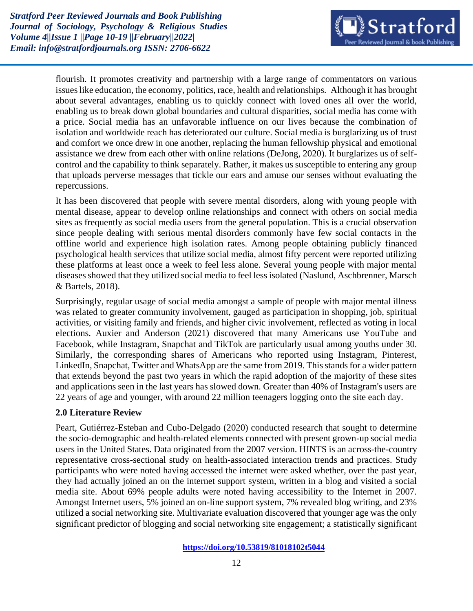

flourish. It promotes creativity and partnership with a large range of commentators on various issues like education, the economy, politics, race, health and relationships. Although it has brought about several advantages, enabling us to quickly connect with loved ones all over the world, enabling us to break down global boundaries and cultural disparities, social media has come with a price. Social media has an unfavorable influence on our lives because the combination of isolation and worldwide reach has deteriorated our culture. Social media is burglarizing us of trust and comfort we once drew in one another, replacing the human fellowship physical and emotional assistance we drew from each other with online relations (DeJong, 2020). It burglarizes us of selfcontrol and the capability to think separately. Rather, it makes us susceptible to entering any group that uploads perverse messages that tickle our ears and amuse our senses without evaluating the repercussions.

It has been discovered that people with severe mental disorders, along with young people with mental disease, appear to develop online relationships and connect with others on social media sites as frequently as social media users from the general population. This is a crucial observation since people dealing with serious mental disorders commonly have few social contacts in the offline world and experience high isolation rates. Among people obtaining publicly financed psychological health services that utilize social media, almost fifty percent were reported utilizing these platforms at least once a week to feel less alone. Several young people with major mental diseases showed that they utilized social media to feel less isolated (Naslund, Aschbrenner, Marsch & Bartels, 2018).

Surprisingly, regular usage of social media amongst a sample of people with major mental illness was related to greater community involvement, gauged as participation in shopping, job, spiritual activities, or visiting family and friends, and higher civic involvement, reflected as voting in local elections. Auxier and Anderson (2021) discovered that many Americans use YouTube and Facebook, while Instagram, Snapchat and TikTok are particularly usual among youths under 30. Similarly, the corresponding shares of Americans who reported using Instagram, Pinterest, LinkedIn, Snapchat, Twitter and WhatsApp are the same from 2019. This stands for a wider pattern that extends beyond the past two years in which the rapid adoption of the majority of these sites and applications seen in the last years has slowed down. Greater than 40% of Instagram's users are 22 years of age and younger, with around 22 million teenagers logging onto the site each day.

#### **2.0 Literature Review**

Peart, Gutiérrez-Esteban and Cubo-Delgado (2020) conducted research that sought to determine the socio-demographic and health-related elements connected with present grown-up social media users in the United States. Data originated from the 2007 version. HINTS is an across-the-country representative cross-sectional study on health-associated interaction trends and practices. Study participants who were noted having accessed the internet were asked whether, over the past year, they had actually joined an on the internet support system, written in a blog and visited a social media site. About 69% people adults were noted having accessibility to the Internet in 2007. Amongst Internet users, 5% joined an on-line support system, 7% revealed blog writing, and 23% utilized a social networking site. Multivariate evaluation discovered that younger age was the only significant predictor of blogging and social networking site engagement; a statistically significant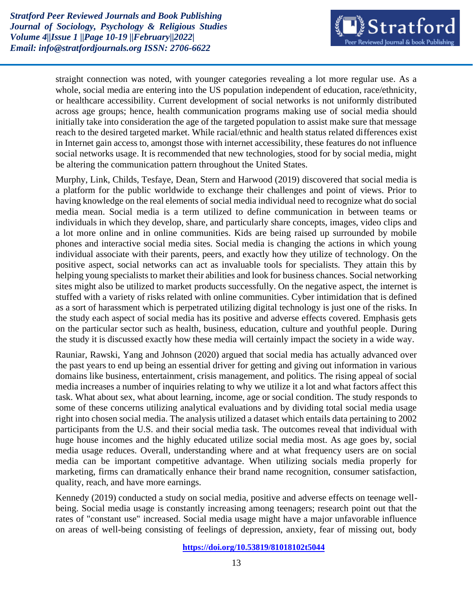

straight connection was noted, with younger categories revealing a lot more regular use. As a whole, social media are entering into the US population independent of education, race/ethnicity, or healthcare accessibility. Current development of social networks is not uniformly distributed across age groups; hence, health communication programs making use of social media should initially take into consideration the age of the targeted population to assist make sure that message reach to the desired targeted market. While racial/ethnic and health status related differences exist in Internet gain access to, amongst those with internet accessibility, these features do not influence social networks usage. It is recommended that new technologies, stood for by social media, might be altering the communication pattern throughout the United States.

Murphy, Link, Childs, Tesfaye, Dean, Stern and Harwood (2019) discovered that social media is a platform for the public worldwide to exchange their challenges and point of views. Prior to having knowledge on the real elements of social media individual need to recognize what do social media mean. Social media is a term utilized to define communication in between teams or individuals in which they develop, share, and particularly share concepts, images, video clips and a lot more online and in online communities. Kids are being raised up surrounded by mobile phones and interactive social media sites. Social media is changing the actions in which young individual associate with their parents, peers, and exactly how they utilize of technology. On the positive aspect, social networks can act as invaluable tools for specialists. They attain this by helping young specialists to market their abilities and look for business chances. Social networking sites might also be utilized to market products successfully. On the negative aspect, the internet is stuffed with a variety of risks related with online communities. Cyber intimidation that is defined as a sort of harassment which is perpetrated utilizing digital technology is just one of the risks. In the study each aspect of social media has its positive and adverse effects covered. Emphasis gets on the particular sector such as health, business, education, culture and youthful people. During the study it is discussed exactly how these media will certainly impact the society in a wide way.

Rauniar, Rawski, Yang and Johnson (2020) argued that social media has actually advanced over the past years to end up being an essential driver for getting and giving out information in various domains like business, entertainment, crisis management, and politics. The rising appeal of social media increases a number of inquiries relating to why we utilize it a lot and what factors affect this task. What about sex, what about learning, income, age or social condition. The study responds to some of these concerns utilizing analytical evaluations and by dividing total social media usage right into chosen social media. The analysis utilized a dataset which entails data pertaining to 2002 participants from the U.S. and their social media task. The outcomes reveal that individual with huge house incomes and the highly educated utilize social media most. As age goes by, social media usage reduces. Overall, understanding where and at what frequency users are on social media can be important competitive advantage. When utilizing socials media properly for marketing, firms can dramatically enhance their brand name recognition, consumer satisfaction, quality, reach, and have more earnings.

Kennedy (2019) conducted a study on social media, positive and adverse effects on teenage wellbeing. Social media usage is constantly increasing among teenagers; research point out that the rates of "constant use" increased. Social media usage might have a major unfavorable influence on areas of well-being consisting of feelings of depression, anxiety, fear of missing out, body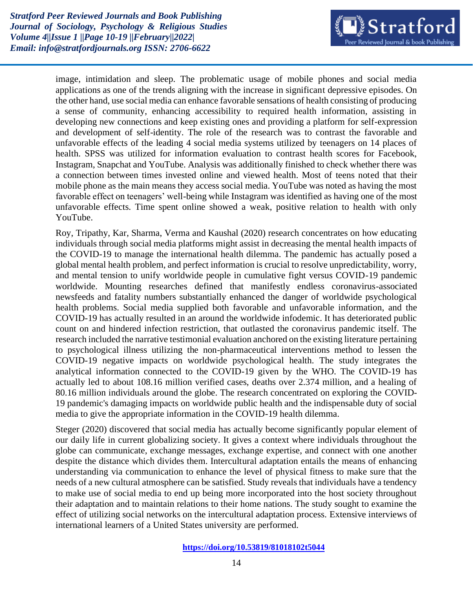

image, intimidation and sleep. The problematic usage of mobile phones and social media applications as one of the trends aligning with the increase in significant depressive episodes. On the other hand, use social media can enhance favorable sensations of health consisting of producing a sense of community, enhancing accessibility to required health information, assisting in developing new connections and keep existing ones and providing a platform for self-expression and development of self-identity. The role of the research was to contrast the favorable and unfavorable effects of the leading 4 social media systems utilized by teenagers on 14 places of health. SPSS was utilized for information evaluation to contrast health scores for Facebook, Instagram, Snapchat and YouTube. Analysis was additionally finished to check whether there was a connection between times invested online and viewed health. Most of teens noted that their mobile phone as the main means they access social media. YouTube was noted as having the most favorable effect on teenagers' well-being while Instagram was identified as having one of the most unfavorable effects. Time spent online showed a weak, positive relation to health with only YouTube.

Roy, Tripathy, Kar, Sharma, Verma and Kaushal (2020) research concentrates on how educating individuals through social media platforms might assist in decreasing the mental health impacts of the COVID-19 to manage the international health dilemma. The pandemic has actually posed a global mental health problem, and perfect information is crucial to resolve unpredictability, worry, and mental tension to unify worldwide people in cumulative fight versus COVID-19 pandemic worldwide. Mounting researches defined that manifestly endless coronavirus-associated newsfeeds and fatality numbers substantially enhanced the danger of worldwide psychological health problems. Social media supplied both favorable and unfavorable information, and the COVID-19 has actually resulted in an around the worldwide infodemic. It has deteriorated public count on and hindered infection restriction, that outlasted the coronavirus pandemic itself. The research included the narrative testimonial evaluation anchored on the existing literature pertaining to psychological illness utilizing the non-pharmaceutical interventions method to lessen the COVID-19 negative impacts on worldwide psychological health. The study integrates the analytical information connected to the COVID-19 given by the WHO. The COVID-19 has actually led to about 108.16 million verified cases, deaths over 2.374 million, and a healing of 80.16 million individuals around the globe. The research concentrated on exploring the COVID-19 pandemic's damaging impacts on worldwide public health and the indispensable duty of social media to give the appropriate information in the COVID-19 health dilemma.

Steger (2020) discovered that social media has actually become significantly popular element of our daily life in current globalizing society. It gives a context where individuals throughout the globe can communicate, exchange messages, exchange expertise, and connect with one another despite the distance which divides them. Intercultural adaptation entails the means of enhancing understanding via communication to enhance the level of physical fitness to make sure that the needs of a new cultural atmosphere can be satisfied. Study reveals that individuals have a tendency to make use of social media to end up being more incorporated into the host society throughout their adaptation and to maintain relations to their home nations. The study sought to examine the effect of utilizing social networks on the intercultural adaptation process. Extensive interviews of international learners of a United States university are performed.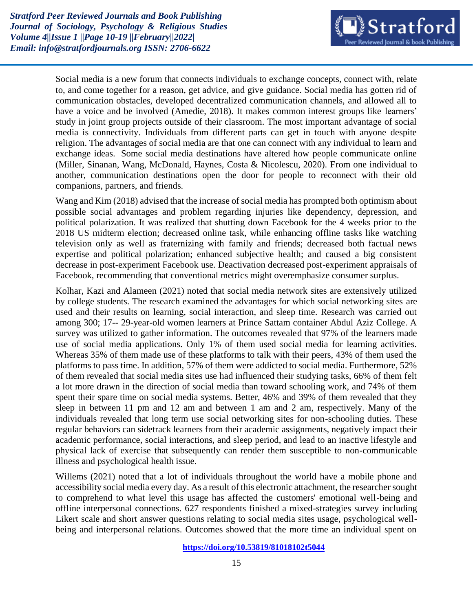

Social media is a new forum that connects individuals to exchange concepts, connect with, relate to, and come together for a reason, get advice, and give guidance. Social media has gotten rid of communication obstacles, developed decentralized communication channels, and allowed all to have a voice and be involved (Amedie, 2018). It makes common interest groups like learners' study in joint group projects outside of their classroom. The most important advantage of social media is connectivity. Individuals from different parts can get in touch with anyone despite religion. The advantages of social media are that one can connect with any individual to learn and exchange ideas. Some social media destinations have altered how people communicate online (Miller, Sinanan, Wang, McDonald, Haynes, Costa & Nicolescu, 2020). From one individual to another, communication destinations open the door for people to reconnect with their old companions, partners, and friends.

Wang and Kim (2018) advised that the increase of social media has prompted both optimism about possible social advantages and problem regarding injuries like dependency, depression, and political polarization. It was realized that shutting down Facebook for the 4 weeks prior to the 2018 US midterm election; decreased online task, while enhancing offline tasks like watching television only as well as fraternizing with family and friends; decreased both factual news expertise and political polarization; enhanced subjective health; and caused a big consistent decrease in post-experiment Facebook use. Deactivation decreased post-experiment appraisals of Facebook, recommending that conventional metrics might overemphasize consumer surplus.

Kolhar, Kazi and Alameen (2021) noted that social media network sites are extensively utilized by college students. The research examined the advantages for which social networking sites are used and their results on learning, social interaction, and sleep time. Research was carried out among 300; 17-- 29-year-old women learners at Prince Sattam container Abdul Aziz College. A survey was utilized to gather information. The outcomes revealed that 97% of the learners made use of social media applications. Only 1% of them used social media for learning activities. Whereas 35% of them made use of these platforms to talk with their peers, 43% of them used the platforms to pass time. In addition, 57% of them were addicted to social media. Furthermore, 52% of them revealed that social media sites use had influenced their studying tasks, 66% of them felt a lot more drawn in the direction of social media than toward schooling work, and 74% of them spent their spare time on social media systems. Better, 46% and 39% of them revealed that they sleep in between 11 pm and 12 am and between 1 am and 2 am, respectively. Many of the individuals revealed that long term use social networking sites for non-schooling duties. These regular behaviors can sidetrack learners from their academic assignments, negatively impact their academic performance, social interactions, and sleep period, and lead to an inactive lifestyle and physical lack of exercise that subsequently can render them susceptible to non-communicable illness and psychological health issue.

Willems (2021) noted that a lot of individuals throughout the world have a mobile phone and accessibility social media every day. As a result of this electronic attachment, the researcher sought to comprehend to what level this usage has affected the customers' emotional well-being and offline interpersonal connections. 627 respondents finished a mixed-strategies survey including Likert scale and short answer questions relating to social media sites usage, psychological wellbeing and interpersonal relations. Outcomes showed that the more time an individual spent on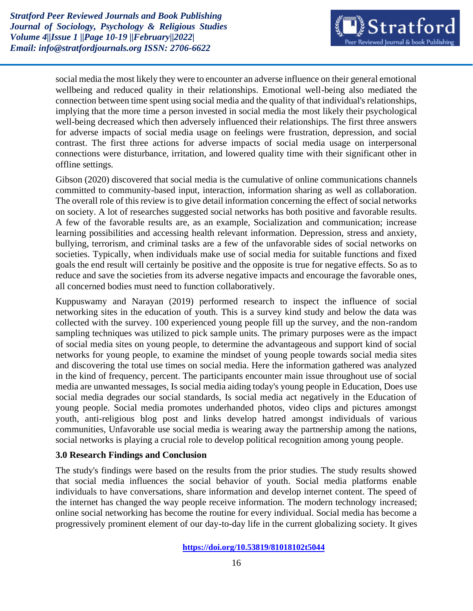

social media the most likely they were to encounter an adverse influence on their general emotional wellbeing and reduced quality in their relationships. Emotional well-being also mediated the connection between time spent using social media and the quality of that individual's relationships, implying that the more time a person invested in social media the most likely their psychological well-being decreased which then adversely influenced their relationships. The first three answers for adverse impacts of social media usage on feelings were frustration, depression, and social contrast. The first three actions for adverse impacts of social media usage on interpersonal connections were disturbance, irritation, and lowered quality time with their significant other in offline settings.

Gibson (2020) discovered that social media is the cumulative of online communications channels committed to community-based input, interaction, information sharing as well as collaboration. The overall role of this review is to give detail information concerning the effect of social networks on society. A lot of researches suggested social networks has both positive and favorable results. A few of the favorable results are, as an example, Socialization and communication; increase learning possibilities and accessing health relevant information. Depression, stress and anxiety, bullying, terrorism, and criminal tasks are a few of the unfavorable sides of social networks on societies. Typically, when individuals make use of social media for suitable functions and fixed goals the end result will certainly be positive and the opposite is true for negative effects. So as to reduce and save the societies from its adverse negative impacts and encourage the favorable ones, all concerned bodies must need to function collaboratively.

Kuppuswamy and Narayan (2019) performed research to inspect the influence of social networking sites in the education of youth. This is a survey kind study and below the data was collected with the survey. 100 experienced young people fill up the survey, and the non-random sampling techniques was utilized to pick sample units. The primary purposes were as the impact of social media sites on young people, to determine the advantageous and support kind of social networks for young people, to examine the mindset of young people towards social media sites and discovering the total use times on social media. Here the information gathered was analyzed in the kind of frequency, percent. The participants encounter main issue throughout use of social media are unwanted messages, Is social media aiding today's young people in Education, Does use social media degrades our social standards, Is social media act negatively in the Education of young people. Social media promotes underhanded photos, video clips and pictures amongst youth, anti-religious blog post and links develop hatred amongst individuals of various communities, Unfavorable use social media is wearing away the partnership among the nations, social networks is playing a crucial role to develop political recognition among young people.

#### **3.0 Research Findings and Conclusion**

The study's findings were based on the results from the prior studies. The study results showed that social media influences the social behavior of youth. Social media platforms enable individuals to have conversations, share information and develop internet content. The speed of the internet has changed the way people receive information. The modern technology increased; online social networking has become the routine for every individual. Social media has become a progressively prominent element of our day-to-day life in the current globalizing society. It gives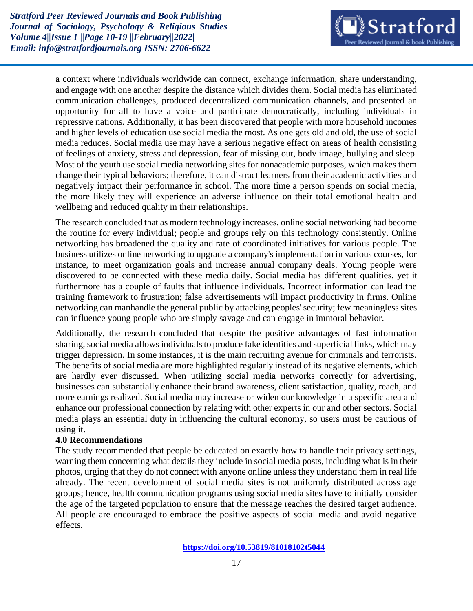

a context where individuals worldwide can connect, exchange information, share understanding, and engage with one another despite the distance which divides them. Social media has eliminated communication challenges, produced decentralized communication channels, and presented an opportunity for all to have a voice and participate democratically, including individuals in repressive nations. Additionally, it has been discovered that people with more household incomes and higher levels of education use social media the most. As one gets old and old, the use of social media reduces. Social media use may have a serious negative effect on areas of health consisting of feelings of anxiety, stress and depression, fear of missing out, body image, bullying and sleep. Most of the youth use social media networking sites for nonacademic purposes, which makes them change their typical behaviors; therefore, it can distract learners from their academic activities and negatively impact their performance in school. The more time a person spends on social media, the more likely they will experience an adverse influence on their total emotional health and wellbeing and reduced quality in their relationships.

The research concluded that as modern technology increases, online social networking had become the routine for every individual; people and groups rely on this technology consistently. Online networking has broadened the quality and rate of coordinated initiatives for various people. The business utilizes online networking to upgrade a company's implementation in various courses, for instance, to meet organization goals and increase annual company deals. Young people were discovered to be connected with these media daily. Social media has different qualities, yet it furthermore has a couple of faults that influence individuals. Incorrect information can lead the training framework to frustration; false advertisements will impact productivity in firms. Online networking can manhandle the general public by attacking peoples' security; few meaningless sites can influence young people who are simply savage and can engage in immoral behavior.

Additionally, the research concluded that despite the positive advantages of fast information sharing, social media allows individuals to produce fake identities and superficial links, which may trigger depression. In some instances, it is the main recruiting avenue for criminals and terrorists. The benefits of social media are more highlighted regularly instead of its negative elements, which are hardly ever discussed. When utilizing social media networks correctly for advertising, businesses can substantially enhance their brand awareness, client satisfaction, quality, reach, and more earnings realized. Social media may increase or widen our knowledge in a specific area and enhance our professional connection by relating with other experts in our and other sectors. Social media plays an essential duty in influencing the cultural economy, so users must be cautious of using it.

#### **4.0 Recommendations**

The study recommended that people be educated on exactly how to handle their privacy settings, warning them concerning what details they include in social media posts, including what is in their photos, urging that they do not connect with anyone online unless they understand them in real life already. The recent development of social media sites is not uniformly distributed across age groups; hence, health communication programs using social media sites have to initially consider the age of the targeted population to ensure that the message reaches the desired target audience. All people are encouraged to embrace the positive aspects of social media and avoid negative effects.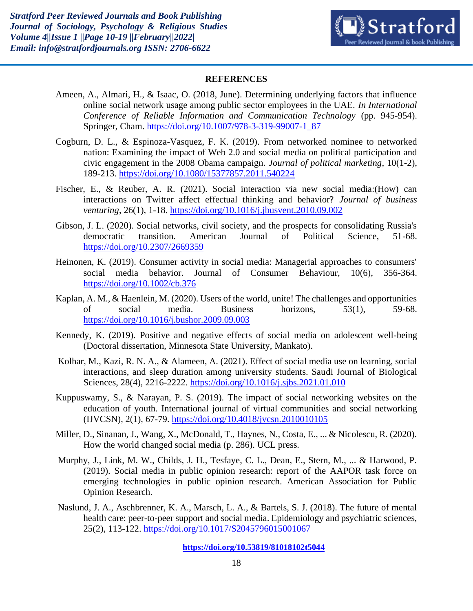

#### **REFERENCES**

- Ameen, A., Almari, H., & Isaac, O. (2018, June). Determining underlying factors that influence online social network usage among public sector employees in the UAE. *In International Conference of Reliable Information and Communication Technology* (pp. 945-954). Springer, Cham. [https://doi.org/10.1007/978-3-319-99007-1\\_87](https://doi.org/10.1007/978-3-319-99007-1_87)
- Cogburn, D. L., & Espinoza-Vasquez, F. K. (2019). From networked nominee to networked nation: Examining the impact of Web 2.0 and social media on political participation and civic engagement in the 2008 Obama campaign. *Journal of political marketing*, 10(1-2), 189-213. <https://doi.org/10.1080/15377857.2011.540224>
- Fischer, E., & Reuber, A. R. (2021). Social interaction via new social media:(How) can interactions on Twitter affect effectual thinking and behavior? *Journal of business venturing*, 26(1), 1-18.<https://doi.org/10.1016/j.jbusvent.2010.09.002>
- Gibson, J. L. (2020). Social networks, civil society, and the prospects for consolidating Russia's democratic transition. American Journal of Political Science, 51-68. <https://doi.org/10.2307/2669359>
- Heinonen, K. (2019). Consumer activity in social media: Managerial approaches to consumers' social media behavior. Journal of Consumer Behaviour, 10(6), 356-364. <https://doi.org/10.1002/cb.376>
- Kaplan, A. M., & Haenlein, M. (2020). Users of the world, unite! The challenges and opportunities of social media. Business horizons, 53(1), 59-68. <https://doi.org/10.1016/j.bushor.2009.09.003>
- Kennedy, K. (2019). Positive and negative effects of social media on adolescent well-being (Doctoral dissertation, Minnesota State University, Mankato).
- Kolhar, M., Kazi, R. N. A., & Alameen, A. (2021). Effect of social media use on learning, social interactions, and sleep duration among university students. Saudi Journal of Biological Sciences, 28(4), 2216-2222. <https://doi.org/10.1016/j.sjbs.2021.01.010>
- Kuppuswamy, S., & Narayan, P. S. (2019). The impact of social networking websites on the education of youth. International journal of virtual communities and social networking (IJVCSN), 2(1), 67-79. <https://doi.org/10.4018/jvcsn.2010010105>
- Miller, D., Sinanan, J., Wang, X., McDonald, T., Haynes, N., Costa, E., ... & Nicolescu, R. (2020). How the world changed social media (p. 286). UCL press.
- Murphy, J., Link, M. W., Childs, J. H., Tesfaye, C. L., Dean, E., Stern, M., ... & Harwood, P. (2019). Social media in public opinion research: report of the AAPOR task force on emerging technologies in public opinion research. American Association for Public Opinion Research.
- Naslund, J. A., Aschbrenner, K. A., Marsch, L. A., & Bartels, S. J. (2018). The future of mental health care: peer-to-peer support and social media. Epidemiology and psychiatric sciences, 25(2), 113-122. <https://doi.org/10.1017/S2045796015001067>

**<https://doi.org/10.53819/81018102t5044>**